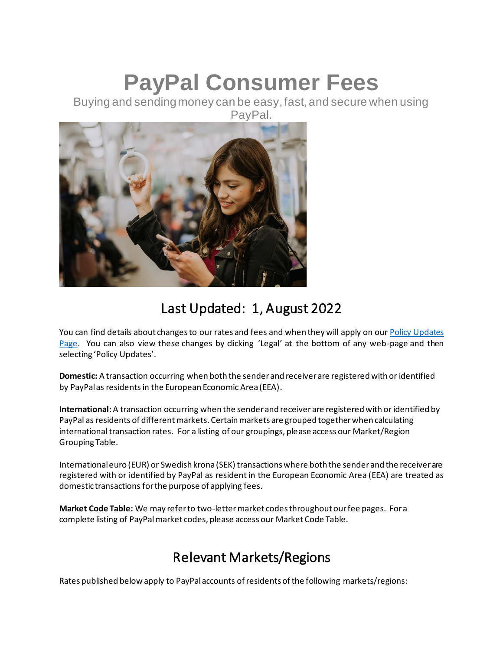# **PayPal Consumer Fees**

Buying and sending money can be easy, fast, and secure when using PayPal.



# Last Updated: 1, August 2022

You can find details about changes to our rates and fees and when they will apply on our Policy Updates [Page](https://www.paypal.com/uk/webapps/mpp/ua/upcoming-policies-full?locale.x=en_GB). You can also view these changes by clicking 'Legal' at the bottom of any web-page and then selecting 'Policy Updates'.

**Domestic:** A transaction occurring when both the sender and receiver are registered with or identified by PayPal as residents in the European Economic Area (EEA).

**International:**A transaction occurring when the sender and receiver are registered with or identified by PayPal as residents of different markets. Certain markets are grouped together when calculating international transaction rates. For a listing of our groupings, please access our Market/Region Grouping Table.

International euro (EUR) or Swedish krona (SEK) transactions where both the sender and the receiver are registered with or identified by PayPal as resident in the European Economic Area (EEA) are treated as domestic transactions for the purpose of applying fees.

**Market Code Table:** We may refer to two-letter market codes throughout our fee pages. For a complete listing of PayPal market codes, please access our Market Code Table.

# Relevant Markets/Regions

Rates published below apply to PayPal accounts of residents of the following markets/regions: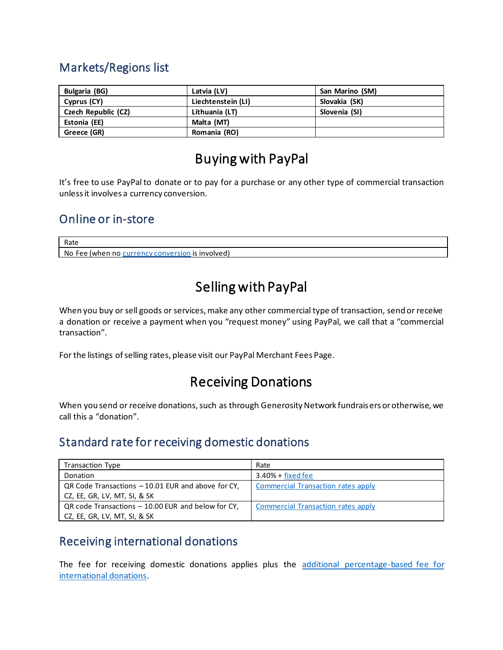#### Markets/Regions list

| Bulgaria (BG)       | Latvia (LV)        | San Marino (SM) |
|---------------------|--------------------|-----------------|
| Cyprus (CY)         | Liechtenstein (LI) | Slovakia (SK)   |
| Czech Republic (CZ) | Lithuania (LT)     | Slovenia (SI)   |
| Estonia (EE)        | Malta (MT)         |                 |
| Greece (GR)         | Romania (RO)       |                 |

# Buying with PayPal

It's free to use PayPal to donate or to pay for a purchase or any other type of commercial transaction unless it involves a currency conversion.

#### Online or in-store

Rate

No Fee (when no [currency conversion](#page-3-0) is involved)

# Selling with PayPal

When you buy or sell goods or services, make any other commercial type of transaction, send or receive a donation or receive a payment when you "request money" using PayPal, we call that a "commercial transaction".

For the listings of selling rates, please visit our PayPal Merchant Fees Page.

#### Receiving Donations

When you send or receive donations, such as through Generosity Network fundraisers or otherwise, we call this a "donation".

#### Standard rate for receiving domestic donations

| <b>Transaction Type</b>                            | Rate                                      |
|----------------------------------------------------|-------------------------------------------|
| Donation                                           | $3.40% + fixed$ fixed fee                 |
| QR Code Transactions - 10.01 EUR and above for CY. | <b>Commercial Transaction rates apply</b> |
| CZ, EE, GR, LV, MT, SI, & SK                       |                                           |
| QR code Transactions - 10.00 EUR and below for CY, | <b>Commercial Transaction rates apply</b> |
| CZ, EE, GR, LV, MT, SI, & SK                       |                                           |

#### Receiving international donations

The fee for receiving domestic donations applies plus the [additional percentage-based fee for](#page-2-1)  [international donations.](#page-2-1)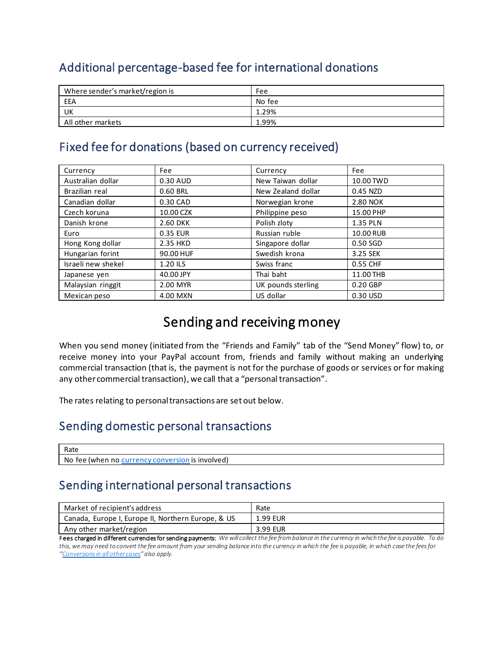#### <span id="page-2-1"></span>Additional percentage-based fee for international donations

| Where sender's market/region is | Fee    |
|---------------------------------|--------|
| EEA                             | No fee |
| UK                              | 1.29%  |
| All other markets               | 1.99%  |

#### <span id="page-2-0"></span>Fixed fee for donations (based on currency received)

| Currency           | Fee       | Currency           | Fee       |
|--------------------|-----------|--------------------|-----------|
| Australian dollar  | 0.30 AUD  | New Taiwan dollar  | 10.00 TWD |
| Brazilian real     | 0.60 BRL  | New Zealand dollar | 0.45 NZD  |
| Canadian dollar    | 0.30 CAD  | Norwegian krone    | 2.80 NOK  |
| Czech koruna       | 10.00 CZK | Philippine peso    | 15.00 PHP |
| Danish krone       | 2.60 DKK  | Polish zloty       | 1.35 PLN  |
| Euro               | 0.35 EUR  | Russian ruble      | 10.00 RUB |
| Hong Kong dollar   | 2.35 HKD  | Singapore dollar   | 0.50 SGD  |
| Hungarian forint   | 90.00 HUF | Swedish krona      | 3.25 SEK  |
| Israeli new shekel | 1.20 ILS  | Swiss franc        | 0.55 CHF  |
| Japanese yen       | 40.00 JPY | Thai baht          | 11.00 THB |
| Malaysian ringgit  | 2.00 MYR  | UK pounds sterling | 0.20 GBP  |
| Mexican peso       | 4.00 MXN  | US dollar          | 0.30 USD  |

# Sending and receiving money

When you send money (initiated from the "Friends and Family" tab of the "Send Money" flow) to, or receive money into your PayPal account from, friends and family without making an underlying commercial transaction (that is, the payment is not for the purchase of goods or services or for making any other commercial transaction), we call that a "personal transaction".

The rates relating to personal transactions are set out below.

#### Sending domestic personal transactions

| Rate                                                                   |  |
|------------------------------------------------------------------------|--|
| No.<br>$\overline{c}$<br>$\sim$<br>tee<br>lwhen<br>nvolvea,<br>no<br>. |  |

#### Sending international personal transactions

| Market of recipient's address                      | Rate     |
|----------------------------------------------------|----------|
| Canada, Europe I, Europe II, Northern Europe, & US | 1.99 EUR |
| Any other market/region                            | 3.99 EUR |

Fees charged in different currencies for sending payments: We will collect the fee from balance in the currency in which the fee is payable. To do *this, we may need to convert the fee amount from your sending balance into the currency in which the fee is payable, in which case the fees for "Conversions in all other cases" also apply.*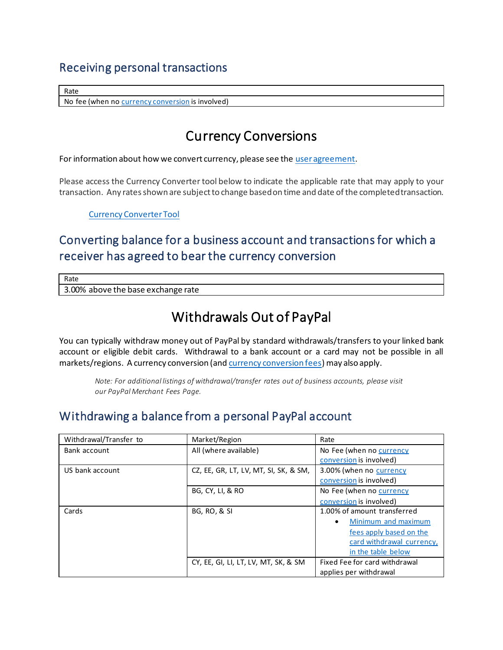#### Receiving personal transactions

Rate

<span id="page-3-0"></span>No fee (when n[o currency conversion](#page-3-0) is involved)

# Currency Conversions

For information about how we convert currency, please see th[e user agreement](https://www.paypal.com/mt/webapps/mpp/cz/useragreement-full?locale.x=en_MT#currency-conversion1).

Please access the Currency Converter tool below to indicate the applicable rate that may apply to your transaction. Any rates shown are subject to change based on time and date of the completed transaction.

[Currency Converter Tool](https://www.paypal.com/cz/smarthelp/article/faq1976)

#### Converting balance for a business account and transactions for which a receiver has agreed to bear the currency conversion

Rate

3.00% above the base exchange rate

# Withdrawals Out of PayPal

You can typically withdraw money out of PayPal by standard withdrawals/transfers to your linked bank account or eligible debit cards. Withdrawal to a bank account or a card may not be possible in all markets/regions. A currency conversion (an[d currency conversion fees](#page-3-0)) may also apply.

*Note: For additional listings of withdrawal/transfer rates out of business accounts, please visit our PayPal Merchant Fees Page.*

#### Withdrawing a balance from a personal PayPal account

| Withdrawal/Transfer to | Market/Region                         | Rate                             |
|------------------------|---------------------------------------|----------------------------------|
| Bank account           | All (where available)                 | No Fee (when no currency         |
|                        |                                       | conversion is involved)          |
| US bank account        | CZ, EE, GR, LT, LV, MT, SI, SK, & SM, | 3.00% (when no currency          |
|                        |                                       | conversion is involved)          |
|                        | BG, CY, LI, & RO                      | No Fee (when no currency         |
|                        |                                       | conversion is involved)          |
| Cards                  | <b>BG, RO, &amp; SI</b>               | 1.00% of amount transferred      |
|                        |                                       | Minimum and maximum<br>$\bullet$ |
|                        |                                       | fees apply based on the          |
|                        |                                       | card withdrawal currency,        |
|                        |                                       | in the table below               |
|                        | CY, EE, GI, LI, LT, LV, MT, SK, & SM  | Fixed Fee for card withdrawal    |
|                        |                                       | applies per withdrawal           |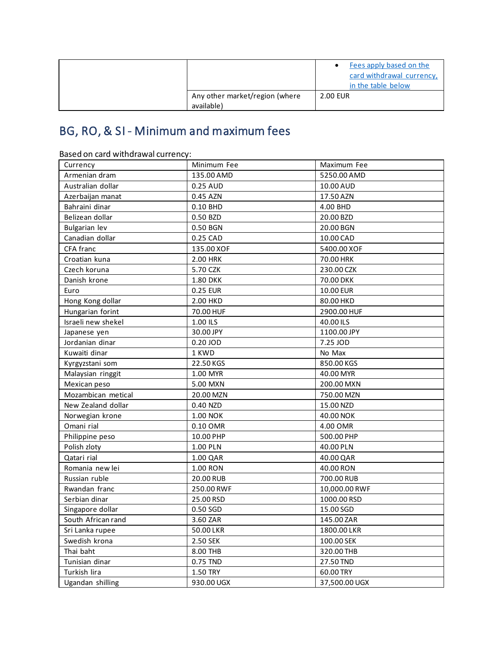|                                              | Fees apply based on the<br>card withdrawal currency,<br>in the table below |
|----------------------------------------------|----------------------------------------------------------------------------|
| Any other market/region (where<br>available) | 2.00 EUR                                                                   |

# <span id="page-4-0"></span>BG, RO, & SI - Minimum and maximum fees

| Dased On card withdrawarcurrency. |                 |               |
|-----------------------------------|-----------------|---------------|
| Currency                          | Minimum Fee     | Maximum Fee   |
| Armenian dram                     | 135.00 AMD      | 5250.00 AMD   |
| Australian dollar                 | 0.25 AUD        | 10.00 AUD     |
| Azerbaijan manat                  | 0.45 AZN        | 17.50 AZN     |
| Bahraini dinar                    | 0.10 BHD        | 4.00 BHD      |
| Belizean dollar                   | 0.50 BZD        | 20.00 BZD     |
| <b>Bulgarian lev</b>              | 0.50 BGN        | 20.00 BGN     |
| Canadian dollar                   | 0.25 CAD        | 10.00 CAD     |
| CFA franc                         | 135.00 XOF      | 5400.00 XOF   |
| Croatian kuna                     | 2.00 HRK        | 70.00 HRK     |
| Czech koruna                      | 5.70 CZK        | 230.00 CZK    |
| Danish krone                      | <b>1.80 DKK</b> | 70.00 DKK     |
| Euro                              | 0.25 EUR        | 10.00 EUR     |
| Hong Kong dollar                  | 2.00 HKD        | 80.00 HKD     |
| Hungarian forint                  | 70.00 HUF       | 2900.00 HUF   |
| Israeli new shekel                | 1.00 ILS        | 40.00 ILS     |
| Japanese yen                      | 30.00 JPY       | 1100.00 JPY   |
| Jordanian dinar                   | 0.20 JOD        | 7.25 JOD      |
| Kuwaiti dinar                     | 1 KWD           | No Max        |
| Kyrgyzstani som                   | 22.50 KGS       | 850.00 KGS    |
| Malaysian ringgit                 | 1.00 MYR        | 40.00 MYR     |
| Mexican peso                      | 5.00 MXN        | 200.00 MXN    |
| Mozambican metical                | 20.00 MZN       | 750.00 MZN    |
| New Zealand dollar                | 0.40 NZD        | 15.00 NZD     |
| Norwegian krone                   | 1.00 NOK        | 40.00 NOK     |
| Omani rial                        | 0.10 OMR        | 4.00 OMR      |
| Philippine peso                   | 10.00 PHP       | 500.00 PHP    |
| Polish zloty                      | 1.00 PLN        | 40.00 PLN     |
| Qatari rial                       | 1.00 QAR        | 40.00 QAR     |
| Romania new lei                   | 1.00 RON        | 40.00 RON     |
| Russian ruble                     | 20.00 RUB       | 700.00 RUB    |
| Rwandan franc                     | 250.00 RWF      | 10,000.00 RWF |
| Serbian dinar                     | 25.00 RSD       | 1000.00 RSD   |
| Singapore dollar                  | 0.50 SGD        | 15.00 SGD     |
| South African rand                | 3.60 ZAR        | 145.00 ZAR    |
| Sri Lanka rupee                   | 50.00 LKR       | 1800.00 LKR   |
| Swedish krona                     | 2.50 SEK        | 100.00 SEK    |
| Thai baht                         | 8.00 THB        | 320.00 THB    |
| Tunisian dinar                    | 0.75 TND        | 27.50 TND     |
| Turkish lira                      | 1.50 TRY        | 60.00 TRY     |
| Ugandan shilling                  | 930.00 UGX      | 37,500.00 UGX |

Based on card withdrawal currency: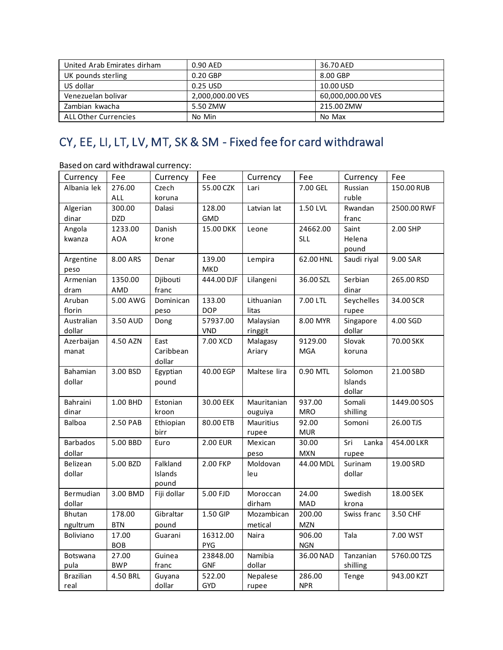| United Arab Emirates dirham | 0.90 AED         | 36.70 AED         |  |
|-----------------------------|------------------|-------------------|--|
| UK pounds sterling          | 0.20 GBP         | 8.00 GBP          |  |
| US dollar                   | 0.25 USD         | 10.00 USD         |  |
| Venezuelan bolivar          | 2,000,000.00 VES | 60,000,000.00 VES |  |
| Zambian kwacha              | 5.50 ZMW         | 215.00 ZMW        |  |
| <b>ALL Other Currencies</b> | No Min           | No Max            |  |

# <span id="page-5-0"></span>CY, EE, LI, LT, LV, MT, SK & SM - Fixed fee for card withdrawal

Based on card withdrawal currency:

| Currency         | Fee        | Currency           | Fee        | Currency     | Fee        | Currency     | Fee         |
|------------------|------------|--------------------|------------|--------------|------------|--------------|-------------|
| Albania lek      | 276.00     | Czech              | 55.00 CZK  | Lari         | 7.00 GEL   | Russian      | 150.00 RUB  |
|                  | ALL        | koruna             |            |              |            | ruble        |             |
| Algerian         | 300.00     | Dalasi             | 128.00     | Latvian lat  | 1.50 LVL   | Rwandan      | 2500.00 RWF |
| dinar            | <b>DZD</b> |                    | <b>GMD</b> |              |            | franc        |             |
| Angola           | 1233.00    | Danish             | 15.00 DKK  | Leone        | 24662.00   | Saint        | 2.00 SHP    |
| kwanza           | AOA        | krone              |            |              | SLL        | Helena       |             |
|                  |            |                    |            |              |            | pound        |             |
| Argentine        | 8.00 ARS   | Denar              | 139.00     | Lempira      | 62.00 HNL  | Saudi riyal  | 9.00 SAR    |
| peso             |            |                    | <b>MKD</b> |              |            |              |             |
| Armenian         | 1350.00    | Djibouti           | 444.00 DJF | Lilangeni    | 36.00 SZL  | Serbian      | 265.00 RSD  |
| dram             | AMD        | franc              |            |              |            | dinar        |             |
| Aruban           | 5.00 AWG   | Dominican          | 133.00     | Lithuanian   | 7.00 LTL   | Seychelles   | 34.00 SCR   |
| florin           |            | peso               | <b>DOP</b> | litas        |            | rupee        |             |
| Australian       | 3.50 AUD   | Dong               | 57937.00   | Malaysian    | 8.00 MYR   | Singapore    | 4.00 SGD    |
| dollar           |            |                    | <b>VND</b> | ringgit      |            | dollar       |             |
| Azerbaijan       | 4.50 AZN   | East               | 7.00 XCD   | Malagasy     | 9129.00    | Slovak       | 70.00 SKK   |
| manat            |            | Caribbean          |            | Ariary       | <b>MGA</b> | koruna       |             |
| Bahamian         | 3.00 BSD   | dollar<br>Egyptian | 40.00 EGP  | Maltese lira | 0.90 MTL   | Solomon      | 21.00 SBD   |
| dollar           |            | pound              |            |              |            | Islands      |             |
|                  |            |                    |            |              |            | dollar       |             |
| Bahraini         | 1.00 BHD   | Estonian           | 30.00 EEK  | Mauritanian  | 937.00     | Somali       | 1449.00 SOS |
| dinar            |            | kroon              |            | ouguiya      | <b>MRO</b> | shilling     |             |
| Balboa           | 2.50 PAB   | Ethiopian          | 80.00 ETB  | Mauritius    | 92.00      | Somoni       | 26.00 TJS   |
|                  |            | birr               |            | rupee        | <b>MUR</b> |              |             |
| <b>Barbados</b>  | 5.00 BBD   | Euro               | 2.00 EUR   | Mexican      | 30.00      | Sri<br>Lanka | 454.00 LKR  |
| dollar           |            |                    |            | peso         | <b>MXN</b> | rupee        |             |
| Belizean         | 5.00 BZD   | Falkland           | 2.00 FKP   | Moldovan     | 44.00 MDL  | Surinam      | 19.00 SRD   |
| dollar           |            | Islands            |            | leu          |            | dollar       |             |
|                  |            | pound              |            |              |            |              |             |
| Bermudian        | 3.00 BMD   | Fiji dollar        | 5.00 FJD   | Moroccan     | 24.00      | Swedish      | 18.00 SEK   |
| dollar           |            |                    |            | dirham       | MAD        | krona        |             |
| <b>Bhutan</b>    | 178.00     | Gibraltar          | 1.50 GIP   | Mozambican   | 200.00     | Swiss franc  | 3.50 CHF    |
| ngultrum         | <b>BTN</b> | pound              |            | metical      | <b>MZN</b> |              |             |
| Boliviano        | 17.00      | Guarani            | 16312.00   | Naira        | 906.00     | Tala         | 7.00 WST    |
|                  | <b>BOB</b> |                    | PYG        |              | <b>NGN</b> |              |             |
| Botswana         | 27.00      | Guinea             | 23848.00   | Namibia      | 36.00 NAD  | Tanzanian    | 5760.00 TZS |
| pula             | <b>BWP</b> | franc              | <b>GNF</b> | dollar       |            | shilling     |             |
| <b>Brazilian</b> | 4.50 BRL   | Guyana             | 522.00     | Nepalese     | 286.00     | Tenge        | 943.00 KZT  |
| real             |            | dollar             | <b>GYD</b> | rupee        | <b>NPR</b> |              |             |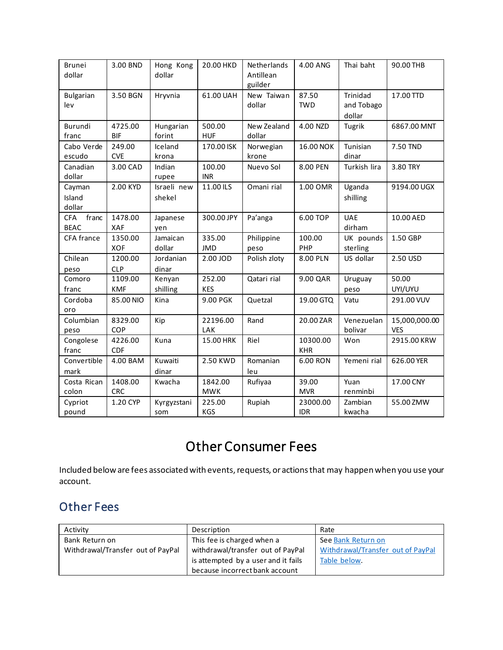| Brunei<br>dollar                   | 3.00 BND              | Hong Kong<br>dollar   | 20.00 HKD             | Netherlands<br>Antillean<br>guilder | 4.00 ANG               | Thai baht                        | 90.00 THB                   |
|------------------------------------|-----------------------|-----------------------|-----------------------|-------------------------------------|------------------------|----------------------------------|-----------------------------|
| <b>Bulgarian</b><br>lev            | 3.50 BGN              | Hryvnia               | 61.00 UAH             | New Taiwan<br>dollar                | 87.50<br><b>TWD</b>    | Trinidad<br>and Tobago<br>dollar | 17.00 TTD                   |
| Burundi<br>franc                   | 4725.00<br><b>BIF</b> | Hungarian<br>forint   | 500.00<br><b>HUF</b>  | New Zealand<br>dollar               | 4.00 NZD               | Tugrik                           | 6867.00 MNT                 |
| Cabo Verde<br>escudo               | 249.00<br><b>CVE</b>  | Iceland<br>krona      | 170.00 ISK            | Norwegian<br>krone                  | 16.00 NOK              | Tunisian<br>dinar                | 7.50 TND                    |
| Canadian<br>dollar                 | 3.00 CAD              | Indian<br>rupee       | 100.00<br><b>INR</b>  | Nuevo Sol                           | 8.00 PEN               | Turkish lira                     | 3.80 TRY                    |
| Cayman<br>Island<br>dollar         | 2.00 KYD              | Israeli new<br>shekel | 11.00 ILS             | Omani rial                          | 1.00 OMR               | Uganda<br>shilling               | 9194.00 UGX                 |
| franc<br><b>CFA</b><br><b>BEAC</b> | 1478.00<br>XAF        | Japanese<br>yen       | 300.00 JPY            | Pa'anga                             | 6.00 TOP               | <b>UAE</b><br>dirham             | 10.00 AED                   |
| CFA france                         | 1350.00<br><b>XOF</b> | Jamaican<br>dollar    | 335.00<br><b>JMD</b>  | Philippine<br>peso                  | 100.00<br>PHP          | UK pounds<br>sterling            | 1.50 GBP                    |
| Chilean<br>peso                    | 1200.00<br><b>CLP</b> | Jordanian<br>dinar    | 2.00 JOD              | Polish zloty                        | 8.00 PLN               | US dollar                        | 2.50 USD                    |
| Comoro<br>franc                    | 1109.00<br><b>KMF</b> | Kenyan<br>shilling    | 252.00<br><b>KES</b>  | Qatari rial                         | 9.00 QAR               | Uruguay<br>peso                  | 50.00<br>UYI/UYU            |
| Cordoba<br>oro                     | 85.00 NIO             | Kina                  | 9.00 PGK              | Quetzal                             | 19.00 GTQ              | Vatu                             | 291.00 VUV                  |
| Columbian<br>peso                  | 8329.00<br>COP        | Kip                   | 22196.00<br>LAK       | Rand                                | 20.00 ZAR              | Venezuelan<br>bolivar            | 15,000,000.00<br><b>VES</b> |
| Congolese<br>franc                 | 4226.00<br><b>CDF</b> | Kuna                  | 15.00 HRK             | Riel                                | 10300.00<br><b>KHR</b> | Won                              | 2915.00 KRW                 |
| Convertible<br>mark                | 4.00 BAM              | Kuwaiti<br>dinar      | 2.50 KWD              | Romanian<br>leu                     | 6.00 RON               | Yemeni rial                      | 626.00 YER                  |
| Costa Rican<br>colon               | 1408.00<br><b>CRC</b> | Kwacha                | 1842.00<br><b>MWK</b> | Rufiyaa                             | 39.00<br><b>MVR</b>    | Yuan<br>renminbi                 | 17.00 CNY                   |
| Cypriot<br>pound                   | 1.20 CYP              | Kyrgyzstani<br>som    | 225.00<br>KGS         | Rupiah                              | 23000.00<br><b>IDR</b> | Zambian<br>kwacha                | 55.00 ZMW                   |

# Other Consumer Fees

Included below are fees associated with events, requests, or actions that may happen when you use your account.

#### Other Fees

| Activity                          | Description                         | Rate                              |
|-----------------------------------|-------------------------------------|-----------------------------------|
| Bank Return on                    | This fee is charged when a          | See Bank Return on                |
| Withdrawal/Transfer out of PayPal | withdrawal/transfer out of PayPal   | Withdrawal/Transfer out of PayPal |
|                                   | is attempted by a user and it fails | Table below.                      |
|                                   | because incorrect bank account      |                                   |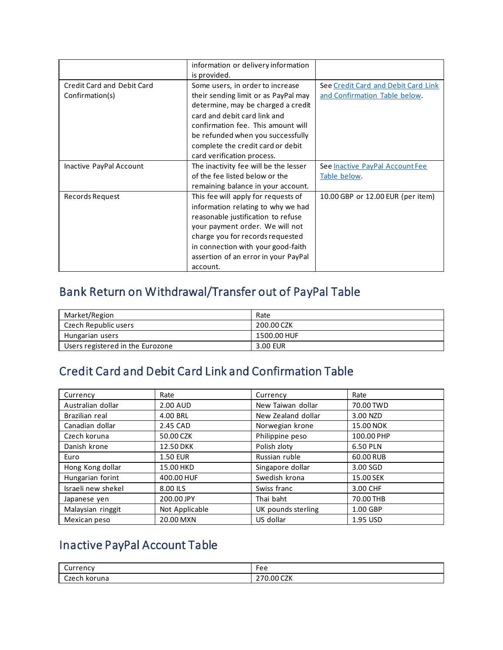|                                                      | information or delivery information<br>is provided.                                                                                                                                                                                                                                          |                                                                      |
|------------------------------------------------------|----------------------------------------------------------------------------------------------------------------------------------------------------------------------------------------------------------------------------------------------------------------------------------------------|----------------------------------------------------------------------|
| <b>Credit Card and Debit Card</b><br>Confirmation(s) | Some users, in order to increase<br>their sending limit or as PayPal may<br>determine, may be charged a credit<br>card and debit card link and<br>confirmation fee. This amount will<br>be refunded when you successfully<br>complete the credit card or debit<br>card verification process. | See Credit Card and Debit Card Link<br>and Confirmation Table below. |
| Inactive PayPal Account                              | The inactivity fee will be the lesser<br>of the fee listed below or the<br>remaining balance in your account.                                                                                                                                                                                | See Inactive PayPal Account Fee<br>Table below.                      |
| Records Request                                      | This fee will apply for requests of<br>information relating to why we had<br>reasonable justification to refuse<br>your payment order. We will not<br>charge you for records requested<br>in connection with your good-faith<br>assertion of an error in your PayPal<br>account.             | 10.00 GBP or 12.00 EUR (per item)                                    |

# <span id="page-7-0"></span>Bank Return on Withdrawal/Transfer out of PayPal Table

| Market/Region                    | Rate        |
|----------------------------------|-------------|
| Czech Republic users             | 200.00 CZK  |
| Hungarian users                  | 1500.00 HUF |
| Users registered in the Eurozone | 3.00 EUR    |

# <span id="page-7-1"></span>Credit Card and Debit Card Link and Confirmation Table

| Currency           | Rate            | Currency           | Rate       |
|--------------------|-----------------|--------------------|------------|
| Australian dollar  | 2.00 AUD        | New Taiwan dollar  | 70.00 TWD  |
| Brazilian real     | 4.00 BRL        | New Zealand dollar | 3.00 NZD   |
| Canadian dollar    | 2.45 CAD        | Norwegian krone    | 15.00 NOK  |
| Czech koruna       | 50.00 CZK       | Philippine peso    | 100.00 PHP |
| Danish krone       | 12.50 DKK       | Polish zloty       | 6.50 PLN   |
| Euro               | <b>1.50 EUR</b> | Russian ruble      | 60.00 RUB  |
| Hong Kong dollar   | 15.00 HKD       | Singapore dollar   | 3.00 SGD   |
| Hungarian forint   | 400.00 HUF      | Swedish krona      | 15.00 SEK  |
| Israeli new shekel | 8.00 ILS        | Swiss franc        | 3.00 CHF   |
| Japanese yen       | 200.00 JPY      | Thai baht          | 70.00 THB  |
| Malaysian ringgit  | Not Applicable  | UK pounds sterling | 1.00 GBP   |
| Mexican peso       | 20.00 MXN       | US dollar          | 1.95 USD   |

# <span id="page-7-2"></span>Inactive PayPal Account Table

| $\overline{\phantom{0}}$<br>$$ $$ $$ $$<br>renc<br>uu i | Fee                                            |
|---------------------------------------------------------|------------------------------------------------|
| Czech koruna<br>. .                                     | $\sim$<br>0.00'<br>n – 1<br>∪∠N<br><u>_ , </u> |